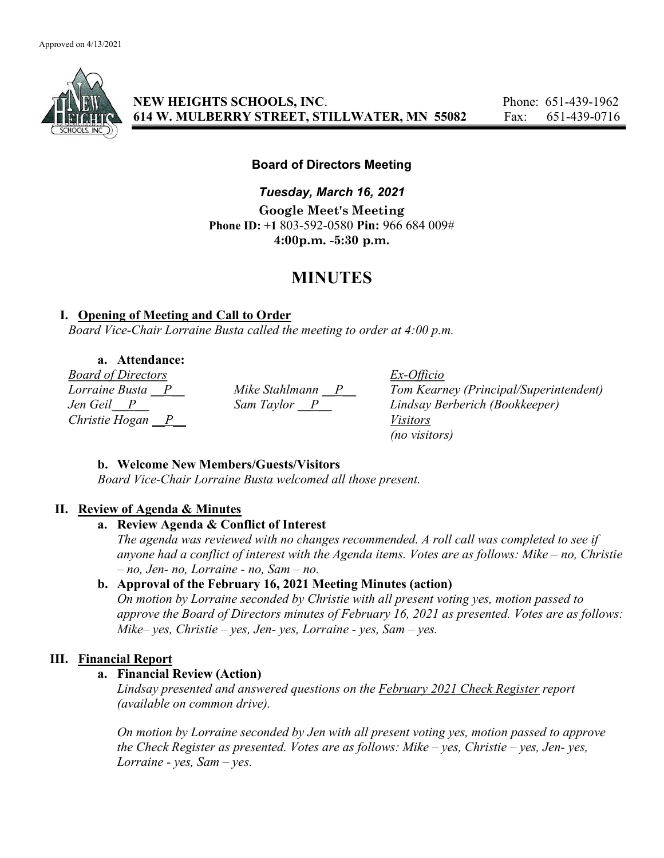

NEW HEIGHTS SCHOOLS, INC. Phone: 651-439-1962 614 W. MULBERRY STREET, STILLWATER, MN 55082 Fax: 651-439-0716

## Board of Directors Meeting

Tuesday, March 16, 2021 Google Meet's Meeting Phone ID: +1 803-592-0580 Pin: 966 684 009# 4:00p.m. -5:30 p.m.

# MINUTES

# I. Opening of Meeting and Call to Order

Board Vice-Chair Lorraine Busta called the meeting to order at 4:00 p.m.

a. Attendance:

Board of Directors Ex-Officio Christie Hogan  $\overline{P}$  Visitors

Mike Stahlmann  $\frac{P}{\text{Dom} - \text{Dom} - \text{N}}$  Tom Kearney (Principal/Superintendent)<br>Sam Taylor  $\frac{P}{\text{Cov} - \text{Cov} - \text{Cov}}$  Lindsay Berberich (Bookkeeper) Jen Geil P Sam Taylor P Lindsay Berberich (Bookkeeper) (no visitors)

# b. Welcome New Members/Guests/Visitors

Board Vice-Chair Lorraine Busta welcomed all those present.

# II. Review of Agenda & Minutes

## a. Review Agenda & Conflict of Interest

The agenda was reviewed with no changes recommended. A roll call was completed to see if anyone had a conflict of interest with the Agenda items. Votes are as follows: Mike – no, Christie  $- no$ , Jen- no, Lorraine - no, Sam  $- no$ .

# b. Approval of the February 16, 2021 Meeting Minutes (action)

On motion by Lorraine seconded by Christie with all present voting yes, motion passed to approve the Board of Directors minutes of February 16, 2021 as presented. Votes are as follows: Mike– yes, Christie – yes, Jen- yes, Lorraine - yes, Sam – yes.

# III. Financial Report

## a. Financial Review (Action)

Lindsay presented and answered questions on the February 2021 Check Register report (available on common drive).

On motion by Lorraine seconded by Jen with all present voting yes, motion passed to approve the Check Register as presented. Votes are as follows: Mike – yes, Christie – yes, Jen- yes, Lorraine - yes,  $Sam - yes$ .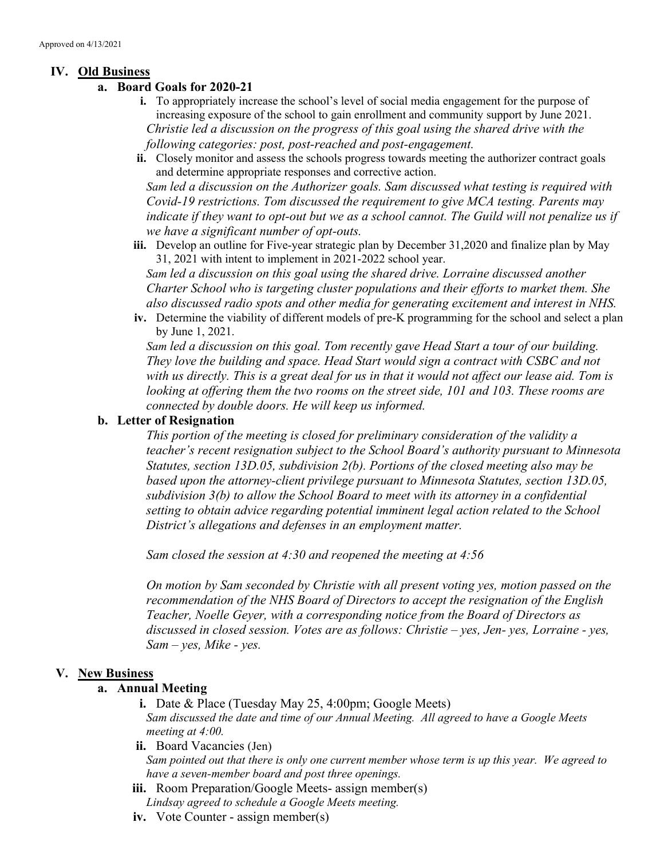# IV. Old Business

#### a. Board Goals for 2020-21

- i. To appropriately increase the school's level of social media engagement for the purpose of increasing exposure of the school to gain enrollment and community support by June 2021. Christie led a discussion on the progress of this goal using the shared drive with the following categories: post, post-reached and post-engagement.
- ii. Closely monitor and assess the schools progress towards meeting the authorizer contract goals and determine appropriate responses and corrective action.

Sam led a discussion on the Authorizer goals. Sam discussed what testing is required with Covid-19 restrictions. Tom discussed the requirement to give MCA testing. Parents may indicate if they want to opt-out but we as a school cannot. The Guild will not penalize us if we have a significant number of opt-outs.

iii. Develop an outline for Five-year strategic plan by December 31,2020 and finalize plan by May 31, 2021 with intent to implement in 2021-2022 school year.

Sam led a discussion on this goal using the shared drive. Lorraine discussed another Charter School who is targeting cluster populations and their efforts to market them. She also discussed radio spots and other media for generating excitement and interest in NHS.

iv. Determine the viability of different models of pre-K programming for the school and select a plan by June 1, 2021.

Sam led a discussion on this goal. Tom recently gave Head Start a tour of our building. They love the building and space. Head Start would sign a contract with CSBC and not with us directly. This is a great deal for us in that it would not affect our lease aid. Tom is looking at offering them the two rooms on the street side, 101 and 103. These rooms are connected by double doors. He will keep us informed.

## b. Letter of Resignation

This portion of the meeting is closed for preliminary consideration of the validity a teacher's recent resignation subject to the School Board's authority pursuant to Minnesota Statutes, section 13D.05, subdivision 2(b). Portions of the closed meeting also may be based upon the attorney-client privilege pursuant to Minnesota Statutes, section 13D.05, subdivision 3(b) to allow the School Board to meet with its attorney in a confidential setting to obtain advice regarding potential imminent legal action related to the School District's allegations and defenses in an employment matter.

Sam closed the session at 4:30 and reopened the meeting at 4:56

On motion by Sam seconded by Christie with all present voting yes, motion passed on the recommendation of the NHS Board of Directors to accept the resignation of the English Teacher, Noelle Geyer, with a corresponding notice from the Board of Directors as discussed in closed session. Votes are as follows: Christie – yes, Jen- yes, Lorraine - yes,  $Sam - ves, Mike - ves.$ 

## V. New Business

## a. Annual Meeting

i. Date & Place (Tuesday May 25, 4:00pm; Google Meets) Sam discussed the date and time of our Annual Meeting. All agreed to have a Google Meets meeting at 4:00.

ii. Board Vacancies (Jen) Sam pointed out that there is only one current member whose term is up this year. We agreed to have a seven-member board and post three openings.

- iii. Room Preparation/Google Meets- assign member(s) Lindsay agreed to schedule a Google Meets meeting.
- iv. Vote Counter assign member(s)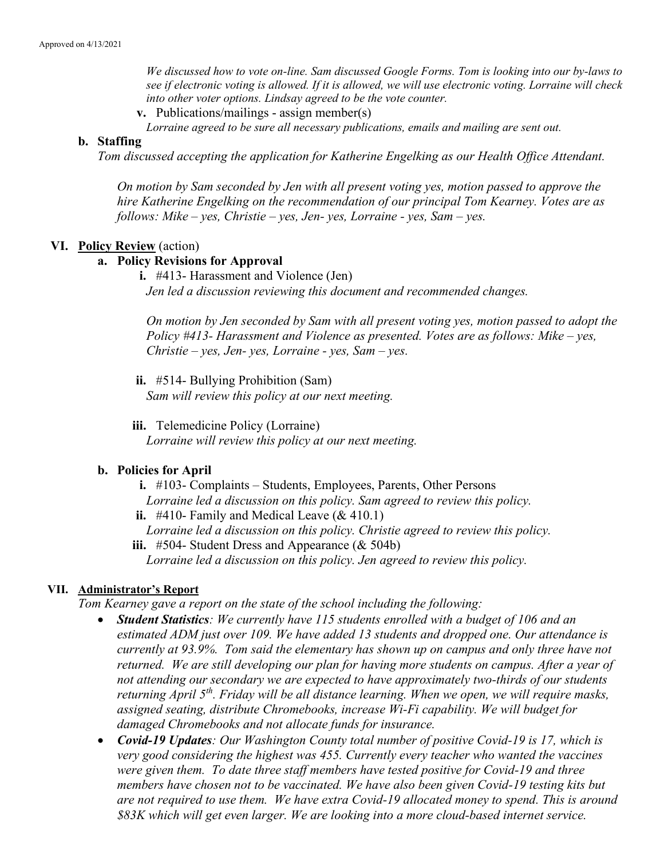We discussed how to vote on-line. Sam discussed Google Forms. Tom is looking into our by-laws to see if electronic voting is allowed. If it is allowed, we will use electronic voting. Lorraine will check into other voter options. Lindsay agreed to be the vote counter.

v. Publications/mailings - assign member(s)

Lorraine agreed to be sure all necessary publications, emails and mailing are sent out.

#### b. Staffing

Tom discussed accepting the application for Katherine Engelking as our Health Office Attendant.

On motion by Sam seconded by Jen with all present voting yes, motion passed to approve the hire Katherine Engelking on the recommendation of our principal Tom Kearney. Votes are as follows: Mike – yes, Christie – yes, Jen- yes, Lorraine - yes, Sam – yes.

#### VI. Policy Review (action)

#### a. Policy Revisions for Approval

i. #413- Harassment and Violence (Jen) Jen led a discussion reviewing this document and recommended changes.

On motion by Jen seconded by Sam with all present voting yes, motion passed to adopt the Policy #413- Harassment and Violence as presented. Votes are as follows: Mike – yes,  $Christie - yes, Jen- yes, Lorraine - yes, Sam- yes.$ 

ii. #514- Bullying Prohibition (Sam) Sam will review this policy at our next meeting.

iii. Telemedicine Policy (Lorraine) Lorraine will review this policy at our next meeting.

#### b. Policies for April

- i. #103- Complaints Students, Employees, Parents, Other Persons
- Lorraine led a discussion on this policy. Sam agreed to review this policy.
- ii.  $\#410$  Family and Medical Leave (& 410.1)
	- Lorraine led a discussion on this policy. Christie agreed to review this policy.
- iii.  $#504$  Student Dress and Appearance (& 504b)

Lorraine led a discussion on this policy. Jen agreed to review this policy.

## VII. Administrator's Report

Tom Kearney gave a report on the state of the school including the following:

- Student Statistics: We currently have 115 students enrolled with a budget of 106 and an estimated ADM just over 109. We have added 13 students and dropped one. Our attendance is currently at 93.9%. Tom said the elementary has shown up on campus and only three have not returned. We are still developing our plan for having more students on campus. After a year of not attending our secondary we are expected to have approximately two-thirds of our students returning April  $5<sup>th</sup>$ . Friday will be all distance learning. When we open, we will require masks, assigned seating, distribute Chromebooks, increase Wi-Fi capability. We will budget for damaged Chromebooks and not allocate funds for insurance.
- Covid-19 Updates: Our Washington County total number of positive Covid-19 is 17, which is very good considering the highest was 455. Currently every teacher who wanted the vaccines were given them. To date three staff members have tested positive for Covid-19 and three members have chosen not to be vaccinated. We have also been given Covid-19 testing kits but are not required to use them. We have extra Covid-19 allocated money to spend. This is around \$83K which will get even larger. We are looking into a more cloud-based internet service.